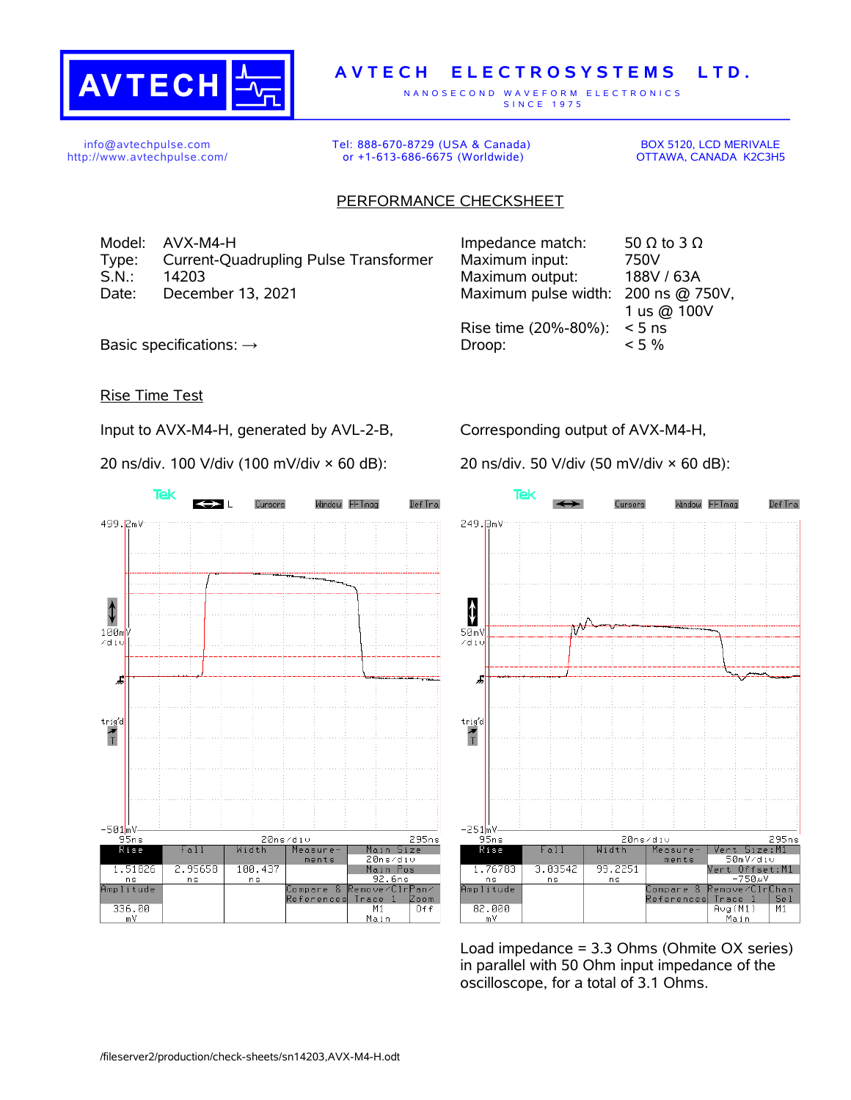

## **A V T E C H E L E C T R O S Y S T E M S L T D .**

N A N O S E C O N D W A V E F O R M E L E C T R O N I C S S IN C E 1975

info@avtechpulse.com http://www.avtechpulse.com/ Tel: 888-670-8729 (USA & Canada) or +1-613-686-6675 (Worldwide)

BOX 5120, LCD MERIVALE OTTAWA, CANADA K2C3H5

## PERFORMANCE CHECKSHEET

Model:  $AVX-M4-H$  Impedance match: 50  $\Omega$  to 3  $\Omega$ Type: Current-Quadrupling Pulse Transformer Maximum input: 750V S.N.: 14203 Maximum output: 188V / 63A Date: December 13, 2021 Maximum pulse width: 200 ns @ 750V,

1 us @ 100V Rise time (20%-80%): < 5 ns Basic specifications:  $\rightarrow$  Droop:  $\sim$  5 %

## Rise Time Test

Input to AVX-M4-H, generated by AVL-2-B,

20 ns/div. 100 V/div (100 mV/div × 60 dB):

Corresponding output of AVX-M4-H,

20 ns/div. 50 V/div (50 mV/div × 60 dB):



**Tek** Window FFTmag Def Tra Cureore 249.3mV  $\ddagger$ ᡢᢞ  $50mV$ zdi: J  $\begin{array}{c}\n\text{trig'd} \\
\hline\n\text{T}\n\end{array}$  $-251$ <sub>m</sub>V  $95ns$ 20ns/div 295ns Rise Vert Size:M1<br>50mV/div  $Fall$ Width Measurements Vert Offset:M1 1.76783 3.03542 99.2251  $750w$  $n s$ n s a<br>Amplitude emove⁄Clr<mark>Chan</mark> Compare  $\mathcal{R}$ Reference: Trace  $\overline{1}$ Se 1 82.000 Aug(M1)<br>Main  $M1$ m٧

Load impedance = 3.3 Ohms (Ohmite OX series) in parallel with 50 Ohm input impedance of the oscilloscope, for a total of 3.1 Ohms.